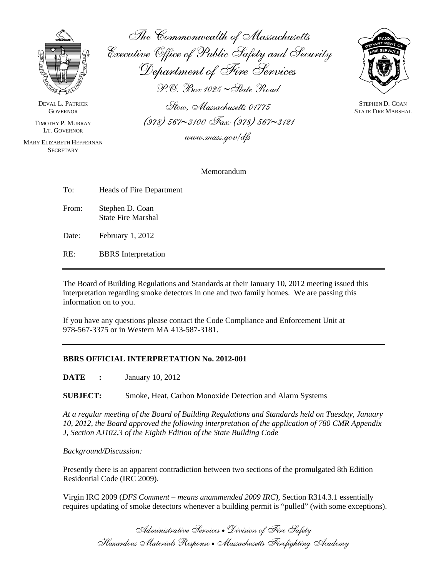

DEVAL L. PATRICK **GOVERNOR** 

TIMOTHY P. MURRAY LT. GOVERNOR

MARY ELIZABETH HEFFERNAN **SECRETARY** 

The Commonwealth of Massachusetts Executive Office of Public Safety and Security Department of Fire Services P.O. Box 1025 ∼State Road

Stow, Massachusetts 01775 (978) 567∼3100 Fax: (978) 567∼3121

www.mass.gov/dfs



STEPHEN D. COAN STATE FIRE MARSHAL

Memorandum

| To:   | Heads of Fire Department                     |
|-------|----------------------------------------------|
| From: | Stephen D. Coan<br><b>State Fire Marshal</b> |
| Date: | February $1, 2012$                           |

RE: BBRS Interpretation

The Board of Building Regulations and Standards at their January 10, 2012 meeting issued this interpretation regarding smoke detectors in one and two family homes. We are passing this information on to you.

If you have any questions please contact the Code Compliance and Enforcement Unit at 978-567-3375 or in Western MA 413-587-3181.

## **BBRS OFFICIAL INTERPRETATION No. 2012-001**

**DATE** : January 10, 2012

**SUBJECT:** Smoke, Heat, Carbon Monoxide Detection and Alarm Systems

*At a regular meeting of the Board of Building Regulations and Standards held on Tuesday, January 10, 2012, the Board approved the following interpretation of the application of 780 CMR Appendix J, Section AJ102.3 of the Eighth Edition of the State Building Code* 

## *Background/Discussion:*

Presently there is an apparent contradiction between two sections of the promulgated 8th Edition Residential Code (IRC 2009).

Virgin IRC 2009 (*DFS Comment – means unammended 2009 IRC)*, Section R314.3.1 essentially requires updating of smoke detectors whenever a building permit is "pulled" (with some exceptions).

Administrative Services • Division of Fire Safety Hazardous Materials Response • Massachusetts Firefighting Academy